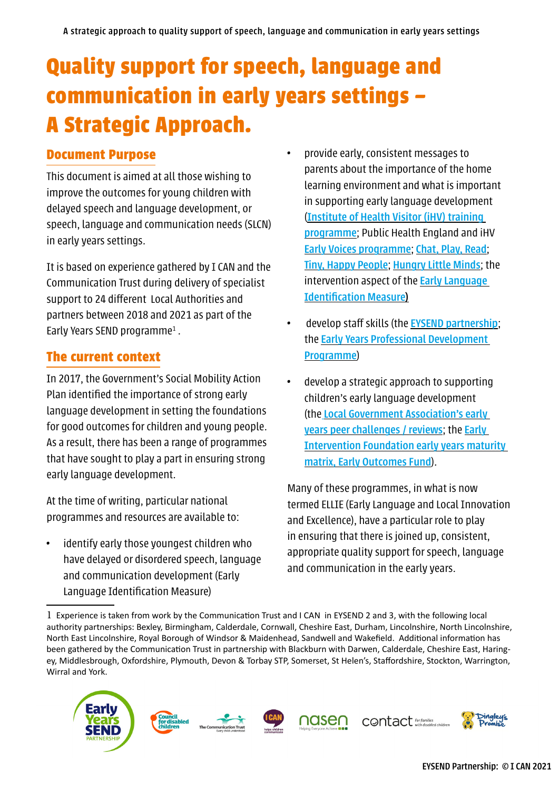# **Quality support for speech, language and communication in early years settings – A Strategic Approach.**

## **Document Purpose**

This document is aimed at all those wishing to improve the outcomes for young children with delayed speech and language development, or speech, language and communication needs (SLCN) in early years settings.

It is based on experience gathered by I CAN and the Communication Trust during delivery of specialist support to 24 different Local Authorities and partners between 2018 and 2021 as part of the Early Years SEND programme<sup>1</sup>.

## **The current context**

In 2017, the Government's Social Mobility Action Plan identified the importance of strong early language development in setting the foundations for good outcomes for children and young people. As a result, there has been a range of programmes that have sought to play a part in ensuring strong early language development.

At the time of writing, particular national programmes and resources are available to:

• identify early those youngest children who have delayed or disordered speech, language and communication development (Early Language Identification Measure)

- provide early, consistent messages to parents about the importance of the home learning environment and what is important in supporting early language development ([Institute of Health Visitor \(iHV\) training](https://ihv.org.uk/news-and-views/news/ihv-delighted-to-be-part-of-multi-million-investment-to-support-childrens-early-communication-skills/)  [programme](https://ihv.org.uk/news-and-views/news/ihv-delighted-to-be-part-of-multi-million-investment-to-support-childrens-early-communication-skills/); Public Health England and iHV [Early Voices programme](https://ihv.org.uk/news-and-views/voices/early-voices/); [Chat, Play, Read](https://www.youtube.com/watch?v=pBi3mRAk82c); [Tiny, Happy People](https://www.bbc.co.uk/tiny-happy-people); [Hungry Little Minds](https://hungrylittleminds.campaign.gov.uk/); the intervention aspect of the **Early Language** [Identification Measure\)](https://assets.publishing.service.gov.uk/government/uploads/system/uploads/attachment_data/file/939872/ELIM_Handbook_December-2020.pdf#:~:text=The%20development%20of%20a%20new%20early%20language%20identification,England%20and%20the%20Department%20for%20Education%20in%20England.)
- develop staff skills (the [EYSEND partnership](https://councilfordisabledchildren.org.uk/early-years-send-partnership/about-programme); the [Early Years Professional Development](https://www.earlyyearspdp.com/#:~:text=The%20Early%20Years%20Professional%20Development%20Programme%20aims%20to,years,%20with%20an%20emphasis%20on%20improving%20school%20readiness.)  [Programme](https://www.earlyyearspdp.com/#:~:text=The%20Early%20Years%20Professional%20Development%20Programme%20aims%20to,years,%20with%20an%20emphasis%20on%20improving%20school%20readiness.))
- develop a strategic approach to supporting children's early language development (the [Local Government Association's early](https://www.local.gov.uk/our-support/peer-challenges)  [years peer challenges / reviews](https://www.local.gov.uk/our-support/peer-challenges); the [Early](https://www.eif.org.uk/resource/eif-maturity-matrix-speech-language-communication-early-years)  [Intervention Foundation early years maturity](https://www.eif.org.uk/resource/eif-maturity-matrix-speech-language-communication-early-years)  [matrix, Early Outcomes Fund](https://www.eif.org.uk/resource/eif-maturity-matrix-speech-language-communication-early-years)).

Many of these programmes, in what is now termed ELLIE (Early Language and Local Innovation and Excellence), have a particular role to play in ensuring that there is joined up, consistent, appropriate quality support for speech, language and communication in the early years.

<sup>1</sup> Experience is taken from work by the Communication Trust and I CAN in EYSEND 2 and 3, with the following local authority partnerships: Bexley, Birmingham, Calderdale, Cornwall, Cheshire East, Durham, Lincolnshire, North Lincolnshire, North East Lincolnshire, Royal Borough of Windsor & Maidenhead, Sandwell and Wakefield. Additional information has been gathered by the Communication Trust in partnership with Blackburn with Darwen, Calderdale, Cheshire East, Haringey, Middlesbrough, Oxfordshire, Plymouth, Devon & Torbay STP, Somerset, St Helen's, Staffordshire, Stockton, Warrington, Wirral and York.

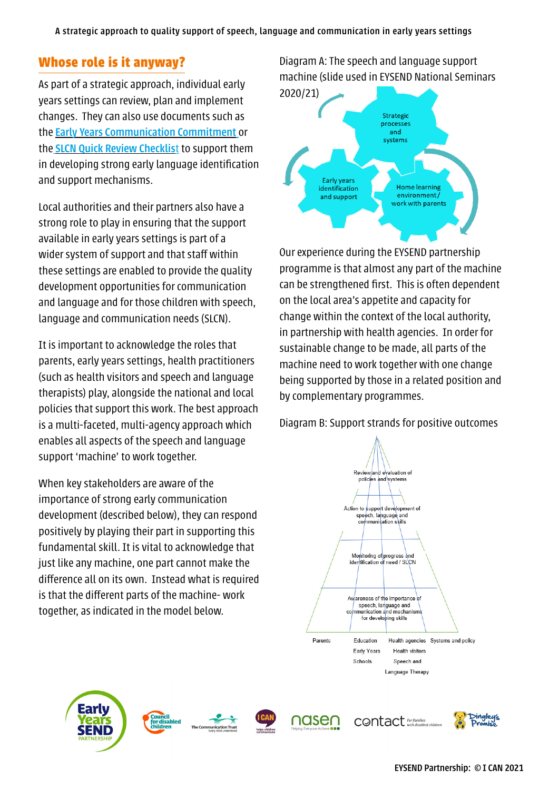# **Whose role is it anyway?**

As part of a strategic approach, individual early years settings can review, plan and implement changes. They can also use documents such as the [Early Years Communication Commitment](http://www.thecommunicationtrust.org.uk/projects/early-years-commitment/#:~:text=Communication%20Commitment%20from%20The%20Communication%20Trust.%20Communication%20is,a%20nursery,%20pre-school,%20Children) or the [SLCN Quick Review Checklis](https://councilfordisabledchildren.org.uk/sites/default/files/uploads/TCT - SLC supportive settings quick review checklist.pdf)t to support them in developing strong early language identification and support mechanisms.

Local authorities and their partners also have a strong role to play in ensuring that the support available in early years settings is part of a wider system of support and that staff within these settings are enabled to provide the quality development opportunities for communication and language and for those children with speech, language and communication needs (SLCN).

It is important to acknowledge the roles that parents, early years settings, health practitioners (such as health visitors and speech and language therapists) play, alongside the national and local policies that support this work. The best approach is a multi-faceted, multi-agency approach which enables all aspects of the speech and language support 'machine' to work together.

When key stakeholders are aware of the importance of strong early communication development (described below), they can respond positively by playing their part in supporting this fundamental skill. It is vital to acknowledge that just like any machine, one part cannot make the difference all on its own. Instead what is required is that the different parts of the machine- work together, as indicated in the model below.

## Diagram A: The speech and language support machine (slide used in EYSEND National Seminars



Our experience during the EYSEND partnership programme is that almost any part of the machine can be strengthened first. This is often dependent on the local area's appetite and capacity for change within the context of the local authority, in partnership with health agencies. In order for sustainable change to be made, all parts of the machine need to work together with one change being supported by those in a related position and by complementary programmes.

Diagram B: Support strands for positive outcomes









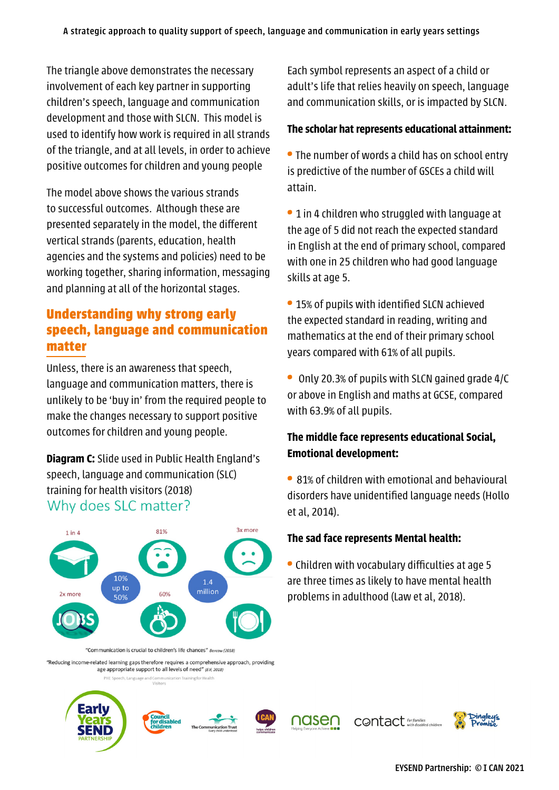The triangle above demonstrates the necessary involvement of each key partner in supporting children's speech, language and communication development and those with SLCN. This model is used to identify how work is required in all strands of the triangle, and at all levels, in order to achieve positive outcomes for children and young people

The model above shows the various strands to successful outcomes. Although these are presented separately in the model, the different vertical strands (parents, education, health agencies and the systems and policies) need to be working together, sharing information, messaging and planning at all of the horizontal stages.

# **Understanding why strong early speech, language and communication matter**

Unless, there is an awareness that speech, language and communication matters, there is unlikely to be 'buy in' from the required people to make the changes necessary to support positive outcomes for children and young people.

**Diagram C:** Slide used in Public Health England's speech, language and communication (SLC) training for health visitors (2018) Why does SLC matter?



"Communication is crucial to children's life chances" Bercow (2018

"Reducing income-related learning gaps therefore requires a comprehensive approach, providing age appropriate support to all levels of need" (EIF, 2018)

Each symbol represents an aspect of a child or adult's life that relies heavily on speech, language and communication skills, or is impacted by SLCN.

#### **The scholar hat represents educational attainment:**

**•** The number of words a child has on school entry is predictive of the number of GSCEs a child will attain.

**•** 1 in 4 children who struggled with language at the age of 5 did not reach the expected standard in English at the end of primary school, compared with one in 25 children who had good language skills at age 5.

**•** 15% of pupils with identified SLCN achieved the expected standard in reading, writing and mathematics at the end of their primary school years compared with 61% of all pupils.

**•** Only 20.3% of pupils with SLCN gained grade 4/C or above in English and maths at GCSE, compared with 63.9% of all pupils.

## **The middle face represents educational Social, Emotional development:**

**•** 81% of children with emotional and behavioural disorders have unidentified language needs (Hollo et al, 2014).

#### **The sad face represents Mental health:**

**•** Children with vocabulary difficulties at age 5 are three times as likely to have mental health problems in adulthood (Law et al, 2018).

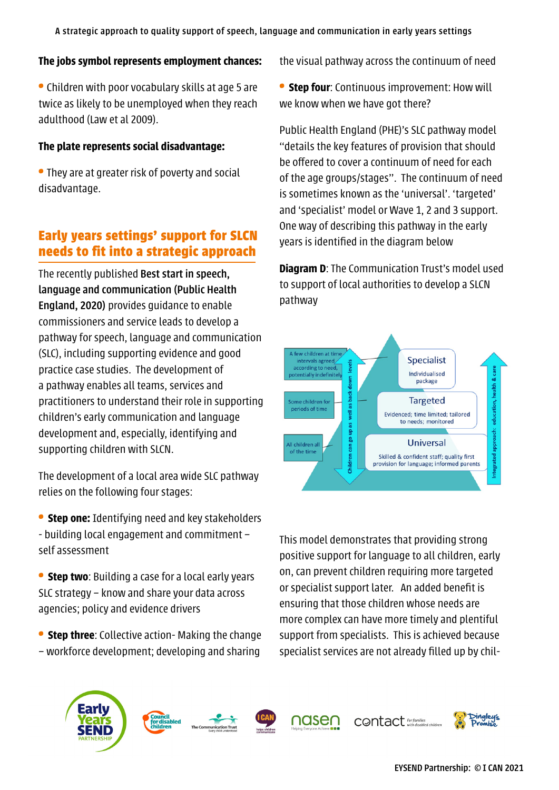#### **The jobs symbol represents employment chances:**

**•** Children with poor vocabulary skills at age 5 are twice as likely to be unemployed when they reach adulthood (Law et al 2009).

#### **The plate represents social disadvantage:**

**•** They are at greater risk of poverty and social disadvantage.

# **Early years settings' support for SLCN needs to fit into a strategic approach**

The recently published [Best start in speech,](https://assets.publishing.service.gov.uk/government/uploads/system/uploads/attachment_data/file/931310/BSSLC_Guidance.pdf#:~:text=Public%20Health%20England%20%28PHE%29%20and%20the%20DfE%20have,SLCN%20and%20promote%20SLC%20development%20in%20preschool%20children.)  [language and communication \(Public Health](https://assets.publishing.service.gov.uk/government/uploads/system/uploads/attachment_data/file/931310/BSSLC_Guidance.pdf#:~:text=Public%20Health%20England%20%28PHE%29%20and%20the%20DfE%20have,SLCN%20and%20promote%20SLC%20development%20in%20preschool%20children.)  [England, 2020\)](https://assets.publishing.service.gov.uk/government/uploads/system/uploads/attachment_data/file/931310/BSSLC_Guidance.pdf#:~:text=Public%20Health%20England%20%28PHE%29%20and%20the%20DfE%20have,SLCN%20and%20promote%20SLC%20development%20in%20preschool%20children.) provides guidance to enable commissioners and service leads to develop a pathway for speech, language and communication (SLC), including supporting evidence and good practice case studies. The development of a pathway enables all teams, services and practitioners to understand their role in supporting children's early communication and language development and, especially, identifying and supporting children with SLCN.

The development of a local area wide SLC pathway relies on the following four stages:

**• Step one:** Identifying need and key stakeholders - building local engagement and commitment – self assessment

**• Step two**: Building a case for a local early years SLC strategy – know and share your data across agencies; policy and evidence drivers

**• Step three**: Collective action- Making the change – workforce development; developing and sharing the visual pathway across the continuum of need

**• Step four**: Continuous improvement: How will we know when we have got there?

Public Health England (PHE)'s SLC pathway model "details the key features of provision that should be offered to cover a continuum of need for each of the age groups/stages". The continuum of need is sometimes known as the 'universal'. 'targeted' and 'specialist' model or Wave 1, 2 and 3 support. One way of describing this pathway in the early years is identified in the diagram below

**Diagram D:** The Communication Trust's model used to support of local authorities to develop a SLCN pathway



This model demonstrates that providing strong positive support for language to all children, early on, can prevent children requiring more targeted or specialist support later. An added benefit is ensuring that those children whose needs are more complex can have more timely and plentiful support from specialists. This is achieved because specialist services are not already filled up by chil-









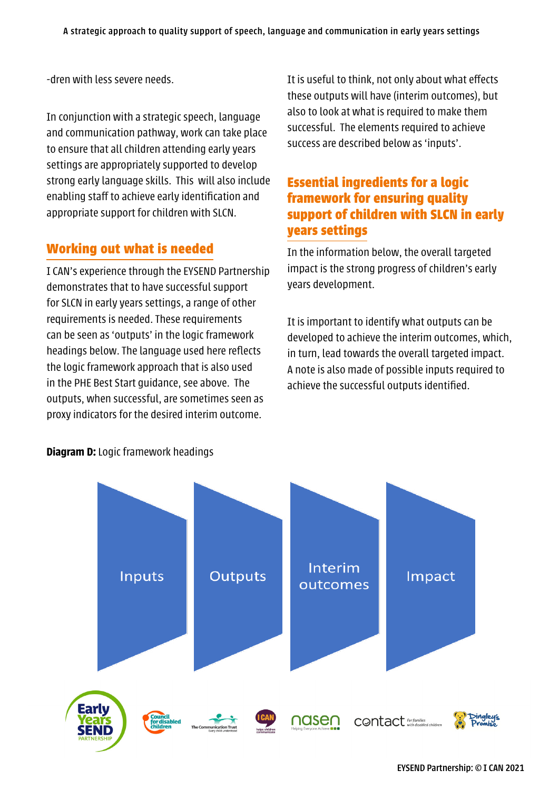-dren with less severe needs.

In conjunction with a strategic speech, language and communication pathway, work can take place to ensure that all children attending early years settings are appropriately supported to develop strong early language skills. This will also include enabling staff to achieve early identification and appropriate support for children with SLCN.

## **Working out what is needed**

I CAN's experience through the EYSEND Partnership demonstrates that to have successful support for SLCN in early years settings, a range of other requirements is needed. These requirements can be seen as 'outputs' in the logic framework headings below. The language used here reflects the logic framework approach that is also used in the PHE Best Start guidance, see above. The outputs, when successful, are sometimes seen as proxy indicators for the desired interim outcome.

It is useful to think, not only about what effects these outputs will have (interim outcomes), but also to look at what is required to make them successful. The elements required to achieve success are described below as 'inputs'.

## **Essential ingredients for a logic framework for ensuring quality support of children with SLCN in early years settings**

In the information below, the overall targeted impact is the strong progress of children's early years development.

It is important to identify what outputs can be developed to achieve the interim outcomes, which, in turn, lead towards the overall targeted impact. A note is also made of possible inputs required to achieve the successful outputs identified.



#### **Diagram D:** Logic framework headings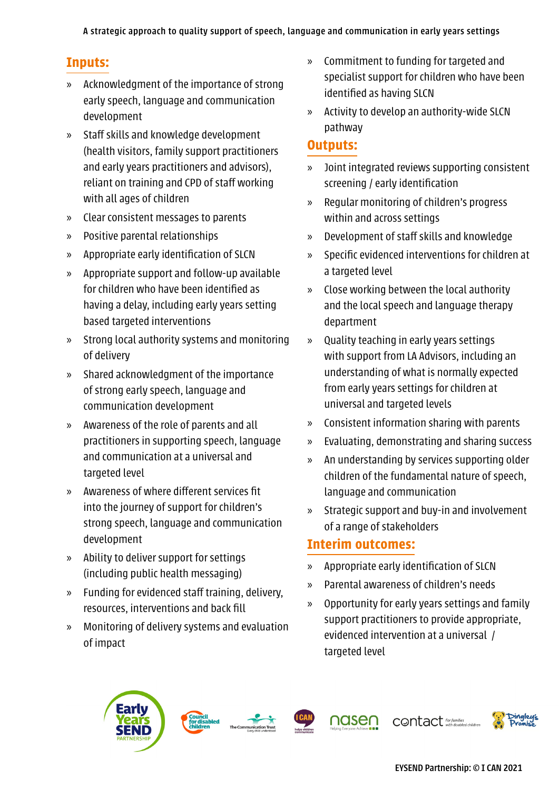# **Inputs:**

- » Acknowledgment of the importance of strong early speech, language and communication development
- » Staff skills and knowledge development (health visitors, family support practitioners and early years practitioners and advisors), reliant on training and CPD of staff working with all ages of children
- » Clear consistent messages to parents
- » Positive parental relationships
- » Appropriate early identification of SLCN
- » Appropriate support and follow-up available for children who have been identified as having a delay, including early years setting based targeted interventions
- » Strong local authority systems and monitoring of delivery
- » Shared acknowledgment of the importance of strong early speech, language and communication development
- » Awareness of the role of parents and all practitioners in supporting speech, language and communication at a universal and targeted level
- » Awareness of where different services fit into the journey of support for children's strong speech, language and communication development
- » Ability to deliver support for settings (including public health messaging)
- » Funding for evidenced staff training, delivery, resources, interventions and back fill
- » Monitoring of delivery systems and evaluation of impact
- » Commitment to funding for targeted and specialist support for children who have been identified as having SLCN
- » Activity to develop an authority-wide SLCN pathway

## **Outputs:**

- » Joint integrated reviews supporting consistent screening / early identification
- » Regular monitoring of children's progress within and across settings
- » Development of staff skills and knowledge
- » Specific evidenced interventions for children at a targeted level
- » Close working between the local authority and the local speech and language therapy department
- » Quality teaching in early years settings with support from LA Advisors, including an understanding of what is normally expected from early years settings for children at universal and targeted levels
- » Consistent information sharing with parents
- » Evaluating, demonstrating and sharing success
- » An understanding by services supporting older children of the fundamental nature of speech, language and communication
- » Strategic support and buy-in and involvement of a range of stakeholders

## **Interim outcomes:**

- » Appropriate early identification of SLCN
- » Parental awareness of children's needs
- » Opportunity for early years settings and family support practitioners to provide appropriate, evidenced intervention at a universal / targeted level